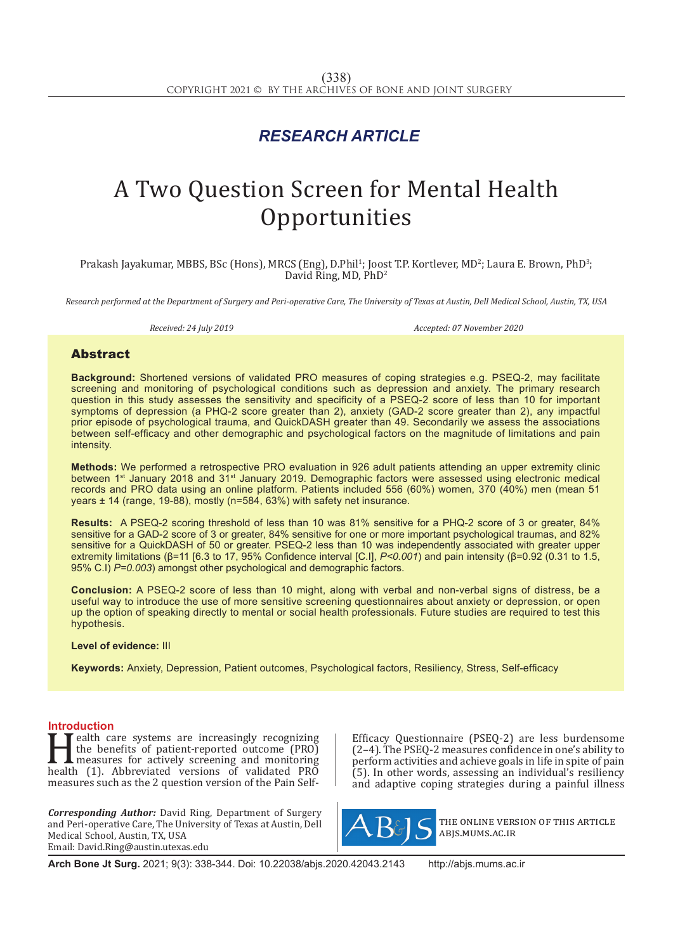## *RESEARCH ARTICLE*

# A Two Question Screen for Mental Health **Opportunities**

Prakash Jayakumar, MBBS, BSc (Hons), MRCS (Eng), D.Phil<sup>1</sup>; Joost T.P. Kortlever, MD<sup>2</sup>; Laura E. Brown, PhD<sup>3</sup>; David Ring, MD, PhD2

*Research performed at the Department of Surgery and Peri-operative Care, The University of Texas at Austin, Dell Medical School, Austin, TX, USA*

*Received: 24 July 2019 Accepted: 07 November 2020*

### Abstract

**Background:** Shortened versions of validated PRO measures of coping strategies e.g. PSEQ-2, may facilitate screening and monitoring of psychological conditions such as depression and anxiety. The primary research question in this study assesses the sensitivity and specificity of a PSEQ-2 score of less than 10 for important symptoms of depression (a PHQ-2 score greater than 2), anxiety (GAD-2 score greater than 2), any impactful prior episode of psychological trauma, and QuickDASH greater than 49. Secondarily we assess the associations between self-efficacy and other demographic and psychological factors on the magnitude of limitations and pain intensity.

**Methods:** We performed a retrospective PRO evaluation in 926 adult patients attending an upper extremity clinic between 1st January 2018 and 31st January 2019. Demographic factors were assessed using electronic medical records and PRO data using an online platform. Patients included 556 (60%) women, 370 (40%) men (mean 51 years ± 14 (range, 19-88), mostly (n=584, 63%) with safety net insurance.

**Results:** A PSEQ-2 scoring threshold of less than 10 was 81% sensitive for a PHQ-2 score of 3 or greater, 84% sensitive for a GAD-2 score of 3 or greater, 84% sensitive for one or more important psychological traumas, and 82% sensitive for a QuickDASH of 50 or greater. PSEQ-2 less than 10 was independently associated with greater upper extremity limitations (β=11 [6.3 to 17, 95% Confidence interval [C.I], *P<0.001*) and pain intensity (β=0.92 (0.31 to 1.5, 95% C.I) *P=0.003*) amongst other psychological and demographic factors.

**Conclusion:** A PSEQ-2 score of less than 10 might, along with verbal and non-verbal signs of distress, be a useful way to introduce the use of more sensitive screening questionnaires about anxiety or depression, or open up the option of speaking directly to mental or social health professionals. Future studies are required to test this hypothesis.

#### **Level of evidence:** III

**Keywords:** Anxiety, Depression, Patient outcomes, Psychological factors, Resiliency, Stress, Self-efficacy

**Introduction**<br>**T** T ealth care systems are increasingly recognizing **Health care systems are increasingly recognizing**<br>the benefits of patient-reported outcome (PRO)<br>health (1). Abbreviated versions of validated PRO<br>measures such as the 2 question version of the Pain Selfthe benefits of patient-reported outcome (PRO) measures for actively screening and monitoring measures such as the 2 question version of the Pain Self-

*Corresponding Author:* David Ring, Department of Surgery and Peri-operative Care, The University of Texas at Austin, Dell Medical School, Austin, TX, USA Email: David.Ring@austin.utexas.edu

Efficacy Questionnaire (PSEQ-2) are less burdensome (2–4). The PSEQ-2 measures confidence in one's ability to perform activities and achieve goals in life in spite of pain (5). In other words, assessing an individual's resiliency and adaptive coping strategies during a painful illness



the online version of this article abjs.mums.ac.ir

**Arch Bone Jt Surg.** 2021; 9(3): 338-344. Doi: 10.22038/abjs.2020.42043.2143 http://abjs.mums.ac.ir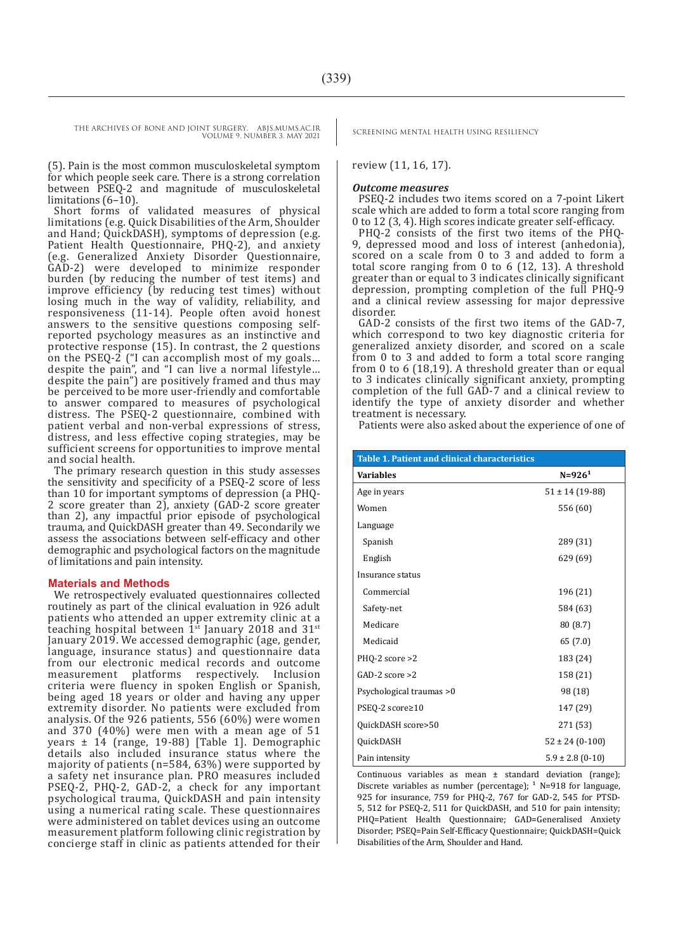THE ARCHIVES OF BONE AND JOINT SURGERY. ABJS.MUMS.AC.IR SCREENING MENTAL HEALTH USING RESILIENCY

VOLUME 9. NUMBER 3. MAY 2021

(5). Pain is the most common musculoskeletal symptom for which people seek care. There is a strong correlation between PSEQ-2 and magnitude of musculoskeletal limitations (6–10).

Short forms of validated measures of physical limitations (e.g. Quick Disabilities of the Arm, Shoulder and Hand; QuickDASH), symptoms of depression (e.g. Patient Health Questionnaire, PHQ-2), and anxiety (e.g. Generalized Anxiety Disorder Questionnaire, GAD-2) were developed to minimize responder burden (by reducing the number of test items) and improve efficiency (by reducing test times) without losing much in the way of validity, reliability, and responsiveness (11-14). People often avoid honest answers to the sensitive questions composing selfreported psychology measures as an instinctive and protective response (15). In contrast, the 2 questions on the PSEQ-2 ("I can accomplish most of my goals… despite the pain", and "I can live a normal lifestyle… despite the pain") are positively framed and thus may be perceived to be more user-friendly and comfortable to answer compared to measures of psychological distress. The PSEQ-2 questionnaire, combined with patient verbal and non-verbal expressions of stress, distress, and less effective coping strategies, may be sufficient screens for opportunities to improve mental and social health.

The primary research question in this study assesses the sensitivity and specificity of a PSEQ-2 score of less than 10 for important symptoms of depression (a PHQ-2 score greater than 2), anxiety (GAD-2 score greater than 2), any impactful prior episode of psychological trauma, and QuickDASH greater than 49. Secondarily we assess the associations between self-efficacy and other demographic and psychological factors on the magnitude of limitations and pain intensity.

#### **Materials and Methods**

We retrospectively evaluated questionnaires collected routinely as part of the clinical evaluation in 926 adult patients who attended an upper extremity clinic at a teaching hospital between  $1^{st}$  January 2018 and 31 $^{st}$ January 2019. We accessed demographic (age, gender, language, insurance status) and questionnaire data from our electronic medical records and outcome platforms respectively. Inclusion criteria were fluency in spoken English or Spanish, being aged 18 years or older and having any upper extremity disorder. No patients were excluded from analysis. Of the 926 patients, 556 (60%) were women and 370 (40%) were men with a mean age of 51 years ± 14 (range, 19-88) [Table 1]. Demographic details also included insurance status where the majority of patients (n=584, 63%) were supported by a safety net insurance plan. PRO measures included PSEQ-2, PHQ-2, GAD-2, a check for any important psychological trauma, QuickDASH and pain intensity using a numerical rating scale. These questionnaires were administered on tablet devices using an outcome measurement platform following clinic registration by concierge staff in clinic as patients attended for their

review (11, 16, 17).

#### *Outcome measures*

PSEQ-2 includes two items scored on a 7-point Likert scale which are added to form a total score ranging from 0 to 12 (3, 4). High scores indicate greater self-efficacy.

PHQ-2 consists of the first two items of the PHQ-9, depressed mood and loss of interest (anhedonia), scored on a scale from 0 to 3 and added to form a total score ranging from 0 to 6 (12, 13). A threshold greater than or equal to 3 indicates clinically significant depression, prompting completion of the full PHQ-9 and a clinical review assessing for major depressive disorder.

GAD-2 consists of the first two items of the GAD-7, which correspond to two key diagnostic criteria for generalized anxiety disorder, and scored on a scale from 0 to 3 and added to form a total score ranging from 0 to 6 (18,19). A threshold greater than or equal to 3 indicates clinically significant anxiety, prompting completion of the full GAD-7 and a clinical review to identify the type of anxiety disorder and whether treatment is necessary.

Patients were also asked about the experience of one of

| Table 1. Patient and clinical characteristics |                      |  |  |  |
|-----------------------------------------------|----------------------|--|--|--|
| <b>Variables</b>                              | $N = 9261$           |  |  |  |
| Age in years                                  | $51 \pm 14$ (19-88)  |  |  |  |
| Women                                         | 556 (60)             |  |  |  |
| Language                                      |                      |  |  |  |
| Spanish                                       | 289 (31)             |  |  |  |
| English                                       | 629 (69)             |  |  |  |
| Insurance status                              |                      |  |  |  |
| Commercial                                    | 196 (21)             |  |  |  |
| Safety-net                                    | 584 (63)             |  |  |  |
| Medicare                                      | 80(8.7)              |  |  |  |
| Medicaid                                      | 65 (7.0)             |  |  |  |
| PHQ-2 score >2                                | 183 (24)             |  |  |  |
| $GAD-2$ score $>2$                            | 158 (21)             |  |  |  |
| Psychological traumas >0                      | 98 (18)              |  |  |  |
| PSEQ-2 score≥10                               | 147 (29)             |  |  |  |
| OuickDASH score>50                            | 271 (53)             |  |  |  |
| QuickDASH                                     | $52 \pm 24 (0-100)$  |  |  |  |
| Pain intensity                                | $5.9 \pm 2.8$ (0-10) |  |  |  |

Continuous variables as mean ± standard deviation (range); Discrete variables as number (percentage);  $1$  N=918 for language, 925 for insurance, 759 for PHQ-2, 767 for GAD-2, 545 for PTSD-5, 512 for PSEQ-2, 511 for QuickDASH, and 510 for pain intensity; PHQ=Patient Health Questionnaire; GAD=Generalised Anxiety Disorder; PSEQ=Pain Self-Efficacy Questionnaire; QuickDASH=Quick Disabilities of the Arm, Shoulder and Hand.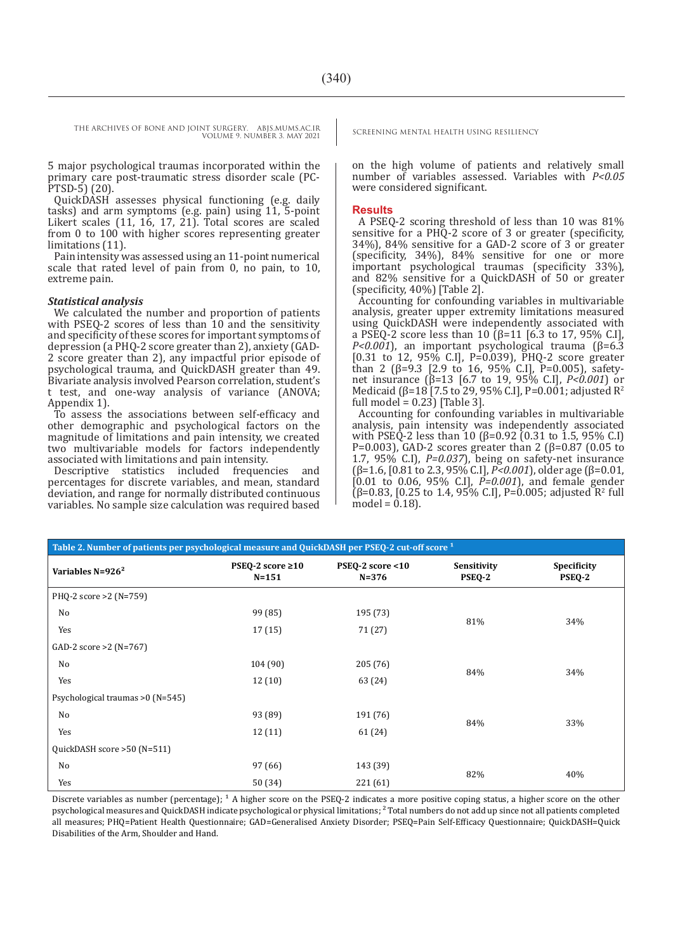5 major psychological traumas incorporated within the primary care post-traumatic stress disorder scale (PC-PTSD-5) (20).

QuickDASH assesses physical functioning (e.g. daily tasks) and arm symptoms (e.g. pain) using 11, 5-point Likert scales (11, 16, 17, 21). Total scores are scaled from 0 to 100 with higher scores representing greater limitations (11).

Pain intensity was assessed using an 11-point numerical scale that rated level of pain from 0, no pain, to 10, extreme pain.

#### *Statistical analysis*

We calculated the number and proportion of patients with PSEQ-2 scores of less than 10 and the sensitivity and specificity of these scores for important symptoms of depression (a PHQ-2 score greater than 2), anxiety (GAD-2 score greater than 2), any impactful prior episode of psychological trauma, and QuickDASH greater than 49. Bivariate analysis involved Pearson correlation, student's t test, and one-way analysis of variance (ANOVA; Appendix 1).

To assess the associations between self-efficacy and other demographic and psychological factors on the magnitude of limitations and pain intensity, we created two multivariable models for factors independently associated with limitations and pain intensity.

Descriptive statistics included frequencies and percentages for discrete variables, and mean, standard deviation, and range for normally distributed continuous variables. No sample size calculation was required based

on the high volume of patients and relatively small number of variables assessed. Variables with *P<0.05*  were considered significant.

#### **Results**

A PSEQ-2 scoring threshold of less than 10 was 81% sensitive for a PHQ-2 score of 3 or greater (specificity, 34%), 84% sensitive for a GAD-2 score of 3 or greater (specificity, 34%), 84% sensitive for one or more important psychological traumas (specificity 33%), and 82% sensitive for a QuickDASH of 50 or greater (specificity, 40%) [Table 2].

Accounting for confounding variables in multivariable analysis, greater upper extremity limitations measured using QuickDASH were independently associated with a PSEQ-2 score less than 10 (β=11 [6.3 to 17, 95% C.I], *P<0.001*), an important psychological trauma (β=6.3 [0.31 to 12, 95% C.I], P=0.039), PHQ-2 score greater than 2 (β=9.3 [2.9 to 16, 95% C.I], P=0.005), safetynet insurance (β=13 [6.7 to 19, 95% C.I], *P<0.001*) or Medicaid (β=18 [7.5 to 29, 95% C.I], P=0.001; adjusted R<sup>2</sup> full model =  $0.23$ ) [Table 3].

Accounting for confounding variables in multivariable analysis, pain intensity was independently associated with PSEQ-2 less than 10 (β=0.92 (0.31 to 1.5, 95% C.I) P=0.003), GAD-2 scores greater than 2 ( $β=0.87$  (0.05 to 1.7, 95% C.I), *P=0.037*), being on safety-net insurance (β=1.6, [0.81 to 2.3, 95% C.I], *P<0.001*), older age (β=0.01, [0.01 to 0.06, 95% C.I], *P=0.001*), and female gender  $(β=0.83, [0.25]$  to 1.4, 95% C.I], P=0.005; adjusted R<sup>2</sup> full model =  $0.18$ ).

| Table 2. Number of patients per psychological measure and QuickDASH per PSEQ-2 cut-off score <sup>1</sup> |                                     |                               |                       |                       |  |  |
|-----------------------------------------------------------------------------------------------------------|-------------------------------------|-------------------------------|-----------------------|-----------------------|--|--|
| Variables $N=926^2$                                                                                       | PSEQ-2 score $\geq 10$<br>$N = 151$ | PSEQ-2 score <10<br>$N = 376$ | Sensitivity<br>PSEQ-2 | Specificity<br>PSEQ-2 |  |  |
| PHQ-2 score > 2 (N=759)                                                                                   |                                     |                               |                       |                       |  |  |
| No                                                                                                        | 99 (85)                             | 195 (73)                      | 81%                   | 34%                   |  |  |
| Yes                                                                                                       | 17(15)                              | 71 (27)                       |                       |                       |  |  |
| $GAD-2 score > 2 (N=767)$                                                                                 |                                     |                               |                       |                       |  |  |
| No                                                                                                        | 104 (90)                            | 205 (76)                      | 84%                   | 34%                   |  |  |
| Yes                                                                                                       | 12(10)                              | 63 (24)                       |                       |                       |  |  |
| Psychological traumas > 0 (N=545)                                                                         |                                     |                               |                       |                       |  |  |
| No                                                                                                        | 93 (89)                             | 191 (76)                      | 84%                   | 33%                   |  |  |
| Yes                                                                                                       | 12(11)                              | 61 (24)                       |                       |                       |  |  |
| QuickDASH score > 50 (N=511)                                                                              |                                     |                               |                       |                       |  |  |
| No                                                                                                        | 97 (66)                             | 143 (39)                      | 82%                   | 40%                   |  |  |
| Yes                                                                                                       | 50 (34)                             | 221(61)                       |                       |                       |  |  |

Discrete variables as number (percentage);  $^1$  A higher score on the PSEQ-2 indicates a more positive coping status, a higher score on the other psychological measures and QuickDASH indicate psychological or physical limitations; ² Total numbers do not add up since not all patients completed all measures; PHQ=Patient Health Questionnaire; GAD=Generalised Anxiety Disorder; PSEQ=Pain Self-Efficacy Questionnaire; QuickDASH=Quick Disabilities of the Arm, Shoulder and Hand.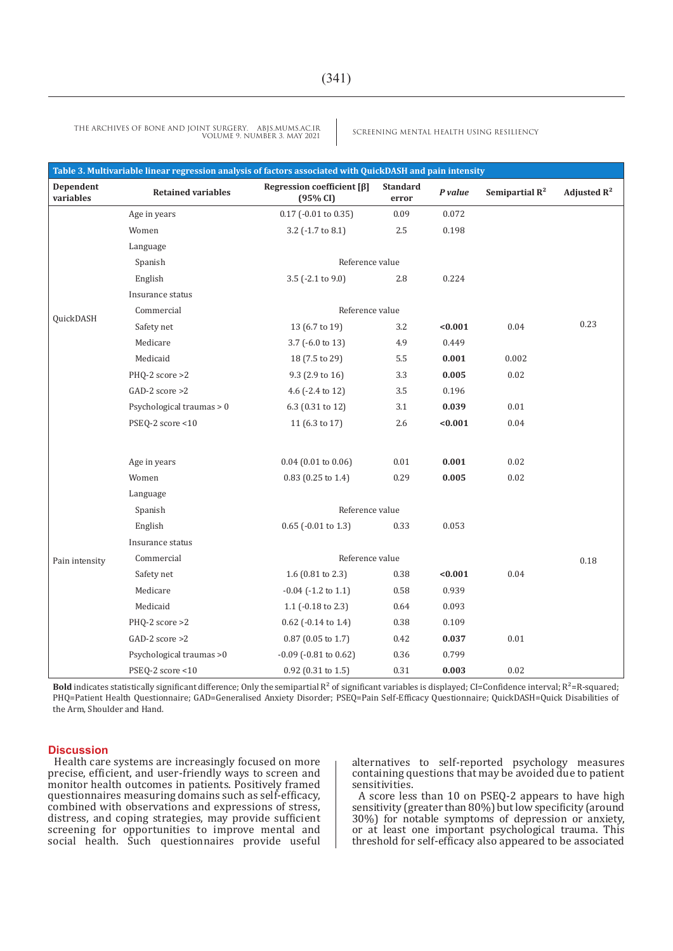| Table 3. Multivariable linear regression analysis of factors associated with QuickDASH and pain intensity |                           |                                              |                          |         |                   |                |
|-----------------------------------------------------------------------------------------------------------|---------------------------|----------------------------------------------|--------------------------|---------|-------------------|----------------|
| Dependent<br>variables                                                                                    | <b>Retained variables</b> | Regression coefficient $[\beta]$<br>(95% CI) | <b>Standard</b><br>error | P value | Semipartial $R^2$ | Adjusted $R^2$ |
|                                                                                                           | Age in years              | 0.17 (-0.01 to 0.35)                         | 0.09                     | 0.072   |                   |                |
|                                                                                                           | Women                     | 3.2 (-1.7 to 8.1)                            | 2.5                      | 0.198   |                   |                |
|                                                                                                           | Language                  |                                              |                          |         |                   |                |
|                                                                                                           | Spanish                   | Reference value                              |                          |         |                   |                |
|                                                                                                           | English                   | 3.5 (-2.1 to 9.0)                            | 2.8                      | 0.224   |                   |                |
|                                                                                                           | Insurance status          |                                              |                          |         |                   |                |
|                                                                                                           | Commercial                | Reference value                              |                          |         |                   |                |
| QuickDASH                                                                                                 | Safety net                | 13 (6.7 to 19)                               | 3.2                      | < 0.001 | 0.04              | 0.23           |
|                                                                                                           | Medicare                  | 3.7 (-6.0 to 13)                             | 4.9                      | 0.449   |                   |                |
|                                                                                                           | Medicaid                  | 18 (7.5 to 29)                               | 5.5                      | 0.001   | 0.002             |                |
|                                                                                                           | $PHQ-2$ score $>2$        | 9.3 (2.9 to 16)                              | 3.3                      | 0.005   | 0.02              |                |
|                                                                                                           | $GAD-2$ score $>2$        | 4.6 (-2.4 to 12)                             | 3.5                      | 0.196   |                   |                |
|                                                                                                           | Psychological traumas > 0 | 6.3 (0.31 to 12)                             | 3.1                      | 0.039   | 0.01              |                |
|                                                                                                           | PSEQ-2 score <10          | 11 (6.3 to 17)                               | 2.6                      | < 0.001 | 0.04              |                |
|                                                                                                           | Age in years              | $0.04$ (0.01 to 0.06)                        | $0.01\,$                 | 0.001   | 0.02              |                |
|                                                                                                           | Women                     | $0.83$ (0.25 to 1.4)                         | 0.29                     | 0.005   | 0.02              |                |
|                                                                                                           | Language                  |                                              |                          |         |                   |                |
|                                                                                                           | Spanish                   | Reference value                              |                          |         |                   |                |
|                                                                                                           | English                   | $0.65$ (-0.01 to 1.3)                        | 0.33                     | 0.053   |                   |                |
| Pain intensity                                                                                            | Insurance status          |                                              |                          |         |                   |                |
|                                                                                                           | Commercial                | Reference value                              |                          |         |                   | 0.18           |
|                                                                                                           | Safety net                | 1.6 $(0.81$ to 2.3)                          | 0.38                     | < 0.001 | 0.04              |                |
|                                                                                                           | Medicare                  | $-0.04$ ( $-1.2$ to $1.1$ )                  | 0.58                     | 0.939   |                   |                |
|                                                                                                           | Medicaid                  | 1.1 (-0.18 to 2.3)                           | 0.64                     | 0.093   |                   |                |
|                                                                                                           | $PHQ-2$ score $>2$        | 0.62 (-0.14 to 1.4)                          | 0.38                     | 0.109   |                   |                |
|                                                                                                           | $GAD-2$ score $>2$        | $0.87$ (0.05 to 1.7)                         | 0.42                     | 0.037   | 0.01              |                |
|                                                                                                           | Psychological traumas >0  | $-0.09$ ( $-0.81$ to $0.62$ )                | 0.36                     | 0.799   |                   |                |
|                                                                                                           | PSEQ-2 score <10          | 0.92 (0.31 to 1.5)                           | 0.31                     | 0.003   | 0.02              |                |

**Bold** indicates statistically significant difference; Only the semipartial  $R^2$  of significant variables is displayed; CI=Confidence interval;  $R^2$ =R-squared; PHQ=Patient Health Questionnaire; GAD=Generalised Anxiety Disorder; PSEQ=Pain Self-Efficacy Questionnaire; QuickDASH=Quick Disabilities of the Arm, Shoulder and Hand.

#### **Discussion**

Health care systems are increasingly focused on more precise, efficient, and user-friendly ways to screen and monitor health outcomes in patients. Positively framed questionnaires measuring domains such as self-efficacy, combined with observations and expressions of stress, distress, and coping strategies, may provide sufficient screening for opportunities to improve mental and social health. Such questionnaires provide useful alternatives to self-reported psychology measures containing questions that may be avoided due to patient sensitivities.

A score less than 10 on PSEQ-2 appears to have high sensitivity (greater than 80%) but low specificity (around 30%) for notable symptoms of depression or anxiety, or at least one important psychological trauma. This threshold for self-efficacy also appeared to be associated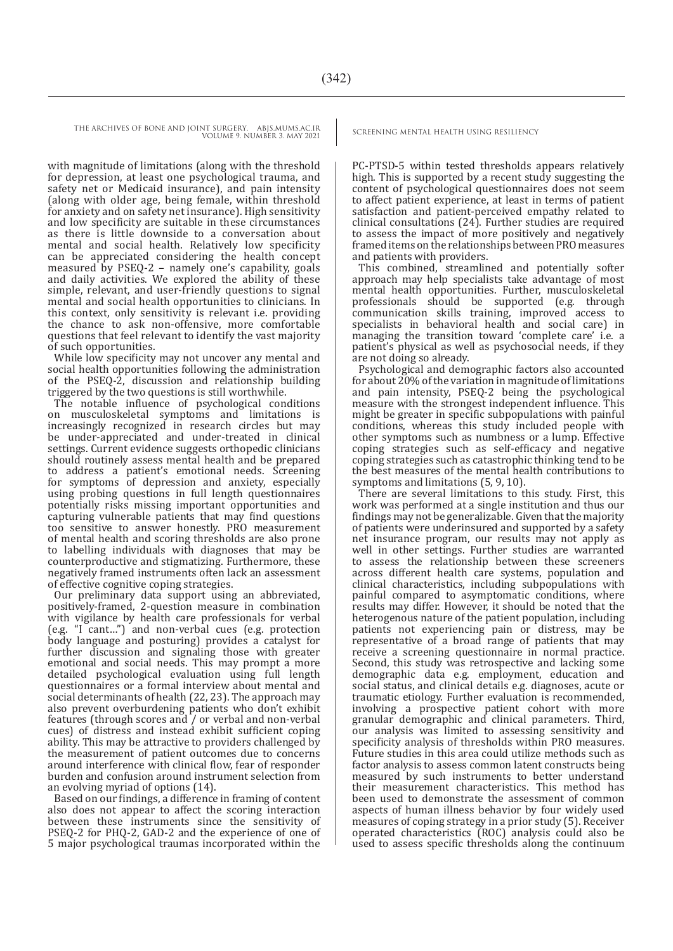with magnitude of limitations (along with the threshold for depression, at least one psychological trauma, and safety net or Medicaid insurance), and pain intensity (along with older age, being female, within threshold for anxiety and on safety net insurance). High sensitivity and low specificity are suitable in these circumstances as there is little downside to a conversation about mental and social health. Relatively low specificity can be appreciated considering the health concept measured by PSEQ-2 – namely one's capability, goals and daily activities. We explored the ability of these simple, relevant, and user-friendly questions to signal mental and social health opportunities to clinicians. In this context, only sensitivity is relevant i.e. providing the chance to ask non-offensive, more comfortable questions that feel relevant to identify the vast majority of such opportunities.

While low specificity may not uncover any mental and social health opportunities following the administration of the PSEQ-2, discussion and relationship building triggered by the two questions is still worthwhile.

The notable influence of psychological conditions on musculoskeletal symptoms and limitations is increasingly recognized in research circles but may be under-appreciated and under-treated in clinical settings. Current evidence suggests orthopedic clinicians should routinely assess mental health and be prepared to address a patient's emotional needs. Screening for symptoms of depression and anxiety, especially using probing questions in full length questionnaires potentially risks missing important opportunities and capturing vulnerable patients that may find questions too sensitive to answer honestly. PRO measurement of mental health and scoring thresholds are also prone to labelling individuals with diagnoses that may be counterproductive and stigmatizing. Furthermore, these negatively framed instruments often lack an assessment of effective cognitive coping strategies.

Our preliminary data support using an abbreviated, positively-framed, 2-question measure in combination with vigilance by health care professionals for verbal (e.g. "I cant…") and non-verbal cues (e.g. protection body language and posturing) provides a catalyst for further discussion and signaling those with greater emotional and social needs. This may prompt a more detailed psychological evaluation using full length questionnaires or a formal interview about mental and social determinants of health (22, 23). The approach may also prevent overburdening patients who don't exhibit features (through scores and / or verbal and non-verbal cues) of distress and instead exhibit sufficient coping ability. This may be attractive to providers challenged by the measurement of patient outcomes due to concerns around interference with clinical flow, fear of responder burden and confusion around instrument selection from an evolving myriad of options (14).

Based on our findings, a difference in framing of content also does not appear to affect the scoring interaction between these instruments since the sensitivity of PSEQ-2 for PHQ-2, GAD-2 and the experience of one of 5 major psychological traumas incorporated within the

PC-PTSD-5 within tested thresholds appears relatively high. This is supported by a recent study suggesting the content of psychological questionnaires does not seem to affect patient experience, at least in terms of patient satisfaction and patient-perceived empathy related to clinical consultations (24). Further studies are required to assess the impact of more positively and negatively framed items on the relationships between PRO measures and patients with providers.

This combined, streamlined and potentially softer approach may help specialists take advantage of most mental health opportunities. Further, musculoskeletal professionals should be supported (e.g. through communication skills training, improved access to specialists in behavioral health and social care) in managing the transition toward 'complete care' i.e. a patient's physical as well as psychosocial needs, if they are not doing so already.

Psychological and demographic factors also accounted for about  $20\%$  of the variation in magnitude of limitations and pain intensity, PSEQ-2 being the psychological measure with the strongest independent influence. This might be greater in specific subpopulations with painful conditions, whereas this study included people with other symptoms such as numbness or a lump. Effective coping strategies such as self-efficacy and negative coping strategies such as catastrophic thinking tend to be the best measures of the mental health contributions to symptoms and limitations (5, 9, 10).

There are several limitations to this study. First, this work was performed at a single institution and thus our findings may not be generalizable. Given that the majority of patients were underinsured and supported by a safety net insurance program, our results may not apply as well in other settings. Further studies are warranted to assess the relationship between these screeners across different health care systems, population and clinical characteristics, including subpopulations with painful compared to asymptomatic conditions, where results may differ. However, it should be noted that the heterogenous nature of the patient population, including patients not experiencing pain or distress, may be representative of a broad range of patients that may receive a screening questionnaire in normal practice. Second, this study was retrospective and lacking some demographic data e.g. employment, education and social status, and clinical details e.g. diagnoses, acute or traumatic etiology. Further evaluation is recommended, involving a prospective patient cohort with more granular demographic and clinical parameters. Third, our analysis was limited to assessing sensitivity and specificity analysis of thresholds within PRO measures. Future studies in this area could utilize methods such as factor analysis to assess common latent constructs being measured by such instruments to better understand their measurement characteristics. This method has been used to demonstrate the assessment of common aspects of human illness behavior by four widely used measures of coping strategy in a prior study (5). Receiver operated characteristics (ROC) analysis could also be used to assess specific thresholds along the continuum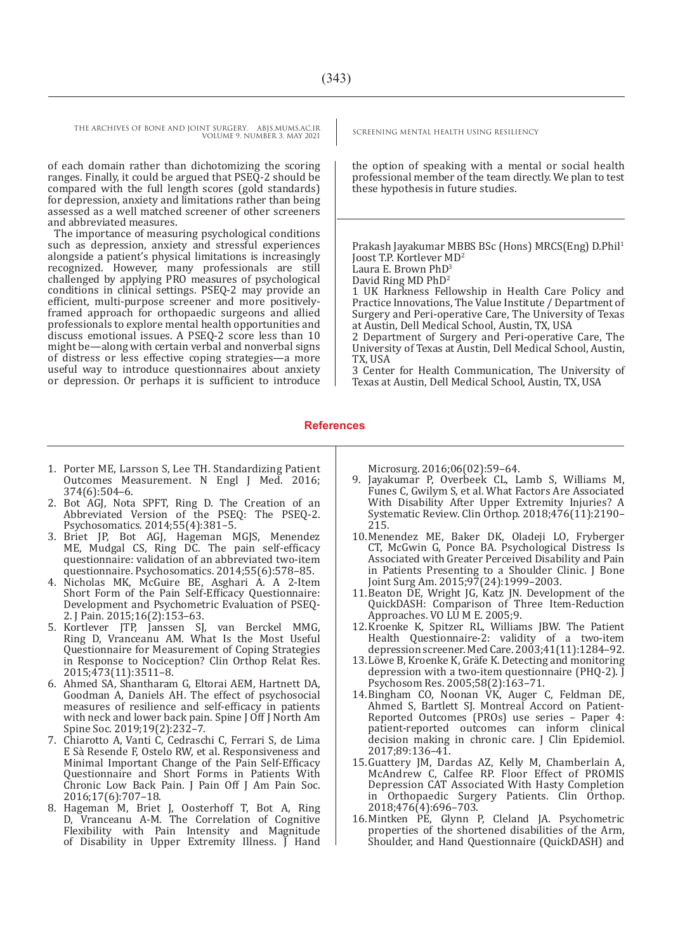of each domain rather than dichotomizing the scoring ranges. Finally, it could be argued that PSEQ-2 should be compared with the full length scores (gold standards) for depression, anxiety and limitations rather than being assessed as a well matched screener of other screeners and abbreviated measures.

The importance of measuring psychological conditions such as depression, anxiety and stressful experiences alongside a patient's physical limitations is increasingly recognized. However, many professionals are still challenged by applying PRO measures of psychological conditions in clinical settings. PSEQ-2 may provide an efficient, multi-purpose screener and more positivelyframed approach for orthopaedic surgeons and allied professionals to explore mental health opportunities and discuss emotional issues. A PSEQ-2 score less than 10 might be—along with certain verbal and nonverbal signs of distress or less effective coping strategies—a more useful way to introduce questionnaires about anxiety or depression. Or perhaps it is sufficient to introduce

the option of speaking with a mental or social health professional member of the team directly. We plan to test these hypothesis in future studies.

Prakash Jayakumar MBBS BSc (Hons) MRCS(Eng) D.Phil<sup>1</sup> Joost T.P. Kortlever MD2 Laura E. Brown PhD<sup>3</sup>

David Ring MD PhD2

1 UK Harkness Fellowship in Health Care Policy and Practice Innovations, The Value Institute / Department of Surgery and Peri-operative Care, The University of Texas at Austin, Dell Medical School, Austin, TX, USA

2 Department of Surgery and Peri-operative Care, The University of Texas at Austin, Dell Medical School, Austin, TX, USA

3 Center for Health Communication, The University of Texas at Austin, Dell Medical School, Austin, TX, USA

#### **References**

- 1. Porter ME, Larsson S, Lee TH. Standardizing Patient Outcomes Measurement. N Engl J Med. 2016; 374(6):504–6.
- 2. Bot AGJ, Nota SPFT, Ring D. The Creation of an Abbreviated Version of the PSEQ: The PSEQ-2. Psychosomatics. 2014;55(4):381–5.
- 3. Briet JP, Bot AGJ, Hageman MGJS, Menendez ME, Mudgal CS, Ring DC. The pain self-efficacy questionnaire: validation of an abbreviated two-item questionnaire. Psychosomatics. 2014;55(6):578–85.
- 4. Nicholas MK, McGuire BE, Asghari A. A 2-Item Short Form of the Pain Self-Efficacy Questionnaire: Development and Psychometric Evaluation of PSEQ-2. J Pain. 2015;16(2):153–63.
- 5. Kortlever JTP, Janssen SJ, van Berckel MMG, Ring D, Vranceanu AM. What Is the Most Useful Questionnaire for Measurement of Coping Strategies in Response to Nociception? Clin Orthop Relat Res. 2015;473(11):3511–8.
- 6. Ahmed SA, Shantharam G, Eltorai AEM, Hartnett DA, Goodman A, Daniels AH. The effect of psychosocial measures of resilience and self-efficacy in patients with neck and lower back pain. Spine J Off J North Am Spine Soc. 2019;19(2):232–7.
- 7. Chiarotto A, Vanti C, Cedraschi C, Ferrari S, de Lima E Sà Resende F, Ostelo RW, et al. Responsiveness and Minimal Important Change of the Pain Self-Efficacy Questionnaire and Short Forms in Patients With Chronic Low Back Pain. J Pain Off J Am Pain Soc. 2016;17(6):707–18.
- 8. Hageman M, Briet J, Oosterhoff T, Bot A, Ring D, Vranceanu A-M. The Correlation of Cognitive Flexibility with Pain Intensity and Magnitude of Disability in Upper Extremity Illness. J Hand

Microsurg. 2016;06(02):59–64.

- 9. Jayakumar P, Overbeek CL, Lamb S, Williams M, Funes C, Gwilym S, et al. What Factors Are Associated With Disability After Upper Extremity Injuries? A Systematic Review. Clin Orthop. 2018;476(11):2190– 215.
- 10.Menendez ME, Baker DK, Oladeji LO, Fryberger CT, McGwin G, Ponce BA. Psychological Distress Is Associated with Greater Perceived Disability and Pain in Patients Presenting to a Shoulder Clinic. J Bone Joint Surg Am. 2015;97(24):1999–2003.
- 11.Beaton DE, Wright JG, Katz JN. Development of the QuickDASH: Comparison of Three Item-Reduction Approaches. VO LU M E. 2005;9.
- 12.Kroenke K, Spitzer RL, Williams JBW. The Patient Health Questionnaire-2: validity of a two-item depression screener. Med Care. 2003;41(11):1284–92.
- 13.Löwe B, Kroenke K, Gräfe K. Detecting and monitoring depression with a two-item questionnaire (PHQ-2). J Psychosom Res. 2005;58(2):163–71.
- 14.Bingham CO, Noonan VK, Auger C, Feldman DE, Ahmed S, Bartlett SJ. Montreal Accord on Patient-Reported Outcomes (PROs) use series – Paper 4: patient-reported outcomes can inform clinical decision making in chronic care. J Clin Epidemiol. 2017;89:136–41.
- 15.Guattery JM, Dardas AZ, Kelly M, Chamberlain A, McAndrew C, Calfee RP. Floor Effect of PROMIS Depression CAT Associated With Hasty Completion in Orthopaedic Surgery Patients. Clin Orthop. 2018;476(4):696–703.
- 16.Mintken PE, Glynn P, Cleland JA. Psychometric properties of the shortened disabilities of the Arm, Shoulder, and Hand Questionnaire (QuickDASH) and